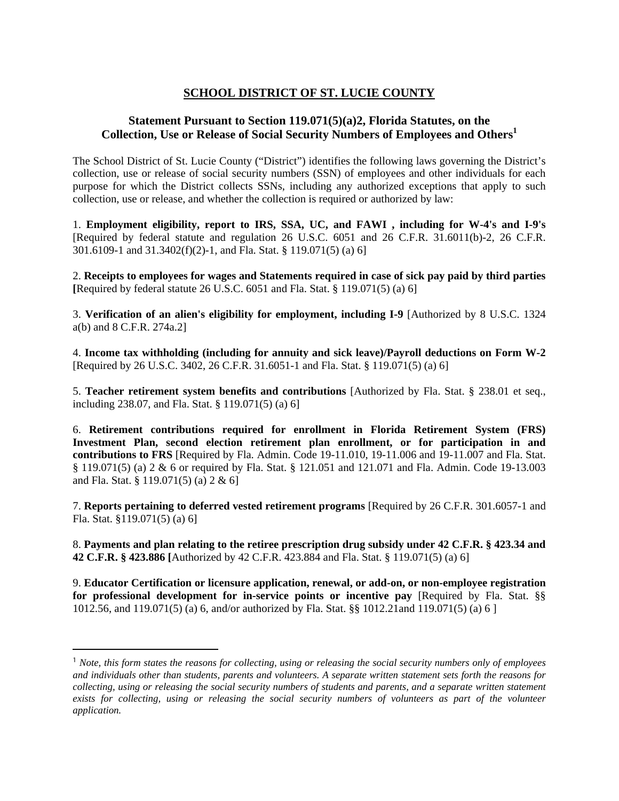## **SCHOOL DISTRICT OF ST. LUCIE COUNTY**

## **Statement Pursuant to Section 119.071(5)(a)2, Florida Statutes, on the Collection, Use or Release of Social Security Numbers of Employees and Others1**

The School District of St. Lucie County ("District") identifies the following laws governing the District's collection, use or release of social security numbers (SSN) of employees and other individuals for each purpose for which the District collects SSNs, including any authorized exceptions that apply to such collection, use or release, and whether the collection is required or authorized by law:

1. **Employment eligibility, report to IRS, SSA, UC, and FAWI , including for W-4's and I-9's**  [Required by federal statute and regulation 26 U.S.C. 6051 and 26 C.F.R. 31.6011(b)-2, 26 C.F.R. 301.6109-1 and 31.3402(f)(2)-1, and Fla. Stat. § 119.071(5) (a) 6]

2. **Receipts to employees for wages and Statements required in case of sick pay paid by third parties [**Required by federal statute 26 U.S.C. 6051 and Fla. Stat. § 119.071(5) (a) 6]

3. **Verification of an alien's eligibility for employment, including I-9** [Authorized by 8 U.S.C. 1324 a(b) and 8 C.F.R. 274a.2]

4. **Income tax withholding (including for annuity and sick leave)/Payroll deductions on Form W-2**  [Required by 26 U.S.C. 3402, 26 C.F.R. 31.6051-1 and Fla. Stat. § 119.071(5) (a) 6]

5. **Teacher retirement system benefits and contributions** [Authorized by Fla. Stat. § 238.01 et seq., including 238.07, and Fla. Stat. § 119.071(5) (a) 6]

6. **Retirement contributions required for enrollment in Florida Retirement System (FRS) Investment Plan, second election retirement plan enrollment, or for participation in and contributions to FRS** [Required by Fla. Admin. Code 19-11.010, 19-11.006 and 19-11.007 and Fla. Stat. § 119.071(5) (a) 2 & 6 or required by Fla. Stat. § 121.051 and 121.071 and Fla. Admin. Code 19-13.003 and Fla. Stat. § 119.071(5) (a) 2 & 6]

7. **Reports pertaining to deferred vested retirement programs** [Required by 26 C.F.R. 301.6057-1 and Fla. Stat. §119.071(5) (a) 6]

8. **Payments and plan relating to the retiree prescription drug subsidy under 42 C.F.R. § 423.34 and 42 C.F.R. § 423.886 [**Authorized by 42 C.F.R. 423.884 and Fla. Stat. § 119.071(5) (a) 6]

9. **Educator Certification or licensure application, renewal, or add-on, or non-employee registration for professional development for in-service points or incentive pay** [Required by Fla. Stat. §§ 1012.56, and 119.071(5) (a) 6, and/or authorized by Fla. Stat. §§ 1012.21and 119.071(5) (a) 6 ]

<sup>1</sup> *Note, this form states the reasons for collecting, using or releasing the social security numbers only of employees and individuals other than students, parents and volunteers. A separate written statement sets forth the reasons for collecting, using or releasing the social security numbers of students and parents, and a separate written statement exists for collecting, using or releasing the social security numbers of volunteers as part of the volunteer application.*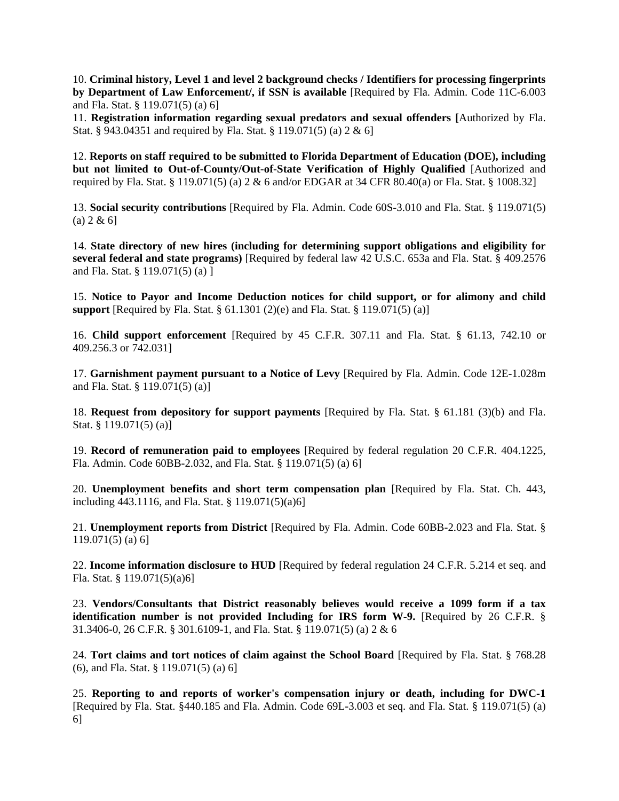10. **Criminal history, Level 1 and level 2 background checks / Identifiers for processing fingerprints by Department of Law Enforcement/, if SSN is available** [Required by Fla. Admin. Code 11C-6.003 and Fla. Stat. § 119.071(5) (a) 6]

11. **Registration information regarding sexual predators and sexual offenders [**Authorized by Fla. Stat. § 943.04351 and required by Fla. Stat. § 119.071(5) (a) 2 & 6]

12. **Reports on staff required to be submitted to Florida Department of Education (DOE), including but not limited to Out-of-County/Out-of-State Verification of Highly Qualified** [Authorized and required by Fla. Stat. § 119.071(5) (a) 2 & 6 and/or EDGAR at 34 CFR 80.40(a) or Fla. Stat. § 1008.32]

13. **Social security contributions** [Required by Fla. Admin. Code 60S-3.010 and Fla. Stat. § 119.071(5)  $(a) 2 & 6$ 

14. **State directory of new hires (including for determining support obligations and eligibility for several federal and state programs)** [Required by federal law 42 U.S.C. 653a and Fla. Stat. § 409.2576 and Fla. Stat. § 119.071(5) (a) ]

15. **Notice to Payor and Income Deduction notices for child support, or for alimony and child support** [Required by Fla. Stat. § 61.1301 (2)(e) and Fla. Stat. § 119.071(5) (a)]

16. **Child support enforcement** [Required by 45 C.F.R. 307.11 and Fla. Stat. § 61.13, 742.10 or 409.256.3 or 742.031]

17. **Garnishment payment pursuant to a Notice of Levy** [Required by Fla. Admin. Code 12E-1.028m and Fla. Stat. § 119.071(5) (a)]

18. **Request from depository for support payments** [Required by Fla. Stat. § 61.181 (3)(b) and Fla. Stat. § 119.071(5) (a)]

19. **Record of remuneration paid to employees** [Required by federal regulation 20 C.F.R. 404.1225, Fla. Admin. Code 60BB-2.032, and Fla. Stat. § 119.071(5) (a) 6]

20. **Unemployment benefits and short term compensation plan** [Required by Fla. Stat. Ch. 443, including 443.1116, and Fla. Stat. § 119.071(5)(a)6]

21. **Unemployment reports from District** [Required by Fla. Admin. Code 60BB-2.023 and Fla. Stat. § 119.071(5) (a) 6]

22. **Income information disclosure to HUD** [Required by federal regulation 24 C.F.R. 5.214 et seq. and Fla. Stat. § 119.071(5)(a)6]

23. **Vendors/Consultants that District reasonably believes would receive a 1099 form if a tax identification number is not provided Including for IRS form W-9.** [Required by 26 C.F.R. § 31.3406-0, 26 C.F.R. § 301.6109-1, and Fla. Stat. § 119.071(5) (a) 2 & 6

24. **Tort claims and tort notices of claim against the School Board** [Required by Fla. Stat. § 768.28 (6), and Fla. Stat. § 119.071(5) (a) 6]

25. **Reporting to and reports of worker's compensation injury or death, including for DWC-1**  [Required by Fla. Stat. §440.185 and Fla. Admin. Code 69L-3.003 et seq. and Fla. Stat. § 119.071(5) (a) 6]